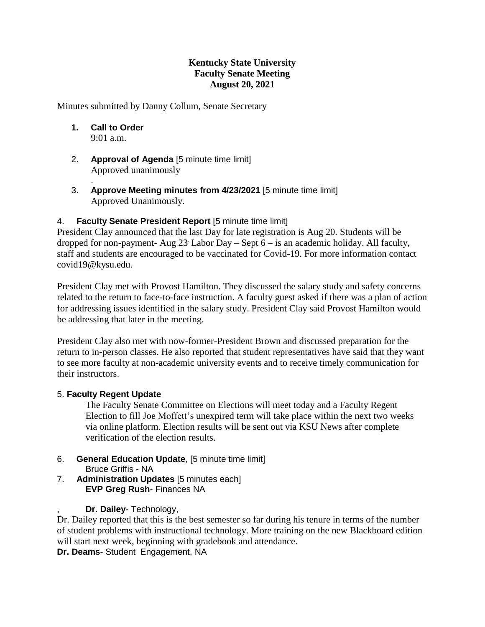## **Kentucky State University Faculty Senate Meeting August 20, 2021**

Minutes submitted by Danny Collum, Senate Secretary

- **1. Call to Order** 9:01 a.m.
- 2. **Approval of Agenda** [5 minute time limit] Approved unanimously
- . 3. **Approve Meeting minutes from 4/23/2021** [5 minute time limit] Approved Unanimously.

## 4. **Faculty Senate President Report** [5 minute time limit]

President Clay announced that the last Day for late registration is Aug 20. Students will be dropped for non-payment- Aug 23. Labor Day – Sept 6 – is an academic holiday. All faculty, staff and students are encouraged to be vaccinated for Covid-19. For more information contact [covid19@kysu.edu.](mailto:covid19@kysu.edu)

President Clay met with Provost Hamilton. They discussed the salary study and safety concerns related to the return to face-to-face instruction. A faculty guest asked if there was a plan of action for addressing issues identified in the salary study. President Clay said Provost Hamilton would be addressing that later in the meeting.

President Clay also met with now-former-President Brown and discussed preparation for the return to in-person classes. He also reported that student representatives have said that they want to see more faculty at non-academic university events and to receive timely communication for their instructors.

## 5. **Faculty Regent Update**

The Faculty Senate Committee on Elections will meet today and a Faculty Regent Election to fill Joe Moffett's unexpired term will take place within the next two weeks via online platform. Election results will be sent out via KSU News after complete verification of the election results.

- 6. **General Education Update**, [5 minute time limit] Bruce Griffis - NA
- 7. **Administration Updates** [5 minutes each] **EVP Greg Rush**- Finances NA
	- , **Dr. Dailey** Technology,

Dr. Dailey reported that this is the best semester so far during his tenure in terms of the number of student problems with instructional technology. More training on the new Blackboard edition will start next week, beginning with gradebook and attendance.

**Dr. Deams**- Student Engagement, NA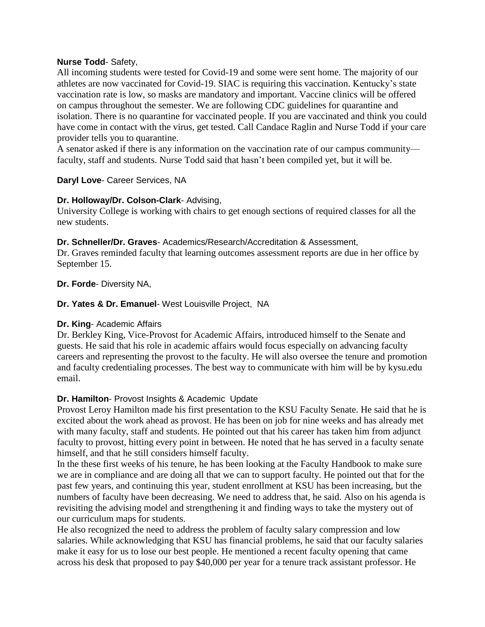## **Nurse Todd**- Safety,

All incoming students were tested for Covid-19 and some were sent home. The majority of our athletes are now vaccinated for Covid-19. SIAC is requiring this vaccination. Kentucky's state vaccination rate is low, so masks are mandatory and important. Vaccine clinics will be offered on campus throughout the semester. We are following CDC guidelines for quarantine and isolation. There is no quarantine for vaccinated people. If you are vaccinated and think you could have come in contact with the virus, get tested. Call Candace Raglin and Nurse Todd if your care provider tells you to quarantine.

A senator asked if there is any information on the vaccination rate of our campus community faculty, staff and students. Nurse Todd said that hasn't been compiled yet, but it will be.

## **Daryl Love**- Career Services, NA

## **Dr. Holloway/Dr. Colson-Clark**- Advising,

University College is working with chairs to get enough sections of required classes for all the new students.

## **Dr. Schneller/Dr. Graves**- Academics/Research/Accreditation & Assessment,

Dr. Graves reminded faculty that learning outcomes assessment reports are due in her office by September 15.

## **Dr. Forde**- Diversity NA,

**Dr. Yates & Dr. Emanuel**- West Louisville Project, NA

## **Dr. King**- Academic Affairs

Dr. Berkley King, Vice-Provost for Academic Affairs, introduced himself to the Senate and guests. He said that his role in academic affairs would focus especially on advancing faculty careers and representing the provost to the faculty. He will also oversee the tenure and promotion and faculty credentialing processes. The best way to communicate with him will be by kysu.edu email.

# **Dr. Hamilton**- Provost Insights & Academic Update

Provost Leroy Hamilton made his first presentation to the KSU Faculty Senate. He said that he is excited about the work ahead as provost. He has been on job for nine weeks and has already met with many faculty, staff and students. He pointed out that his career has taken him from adjunct faculty to provost, hitting every point in between. He noted that he has served in a faculty senate himself, and that he still considers himself faculty.

In the these first weeks of his tenure, he has been looking at the Faculty Handbook to make sure we are in compliance and are doing all that we can to support faculty. He pointed out that for the past few years, and continuing this year, student enrollment at KSU has been increasing, but the numbers of faculty have been decreasing. We need to address that, he said. Also on his agenda is revisiting the advising model and strengthening it and finding ways to take the mystery out of our curriculum maps for students.

He also recognized the need to address the problem of faculty salary compression and low salaries. While acknowledging that KSU has financial problems, he said that our faculty salaries make it easy for us to lose our best people. He mentioned a recent faculty opening that came across his desk that proposed to pay \$40,000 per year for a tenure track assistant professor. He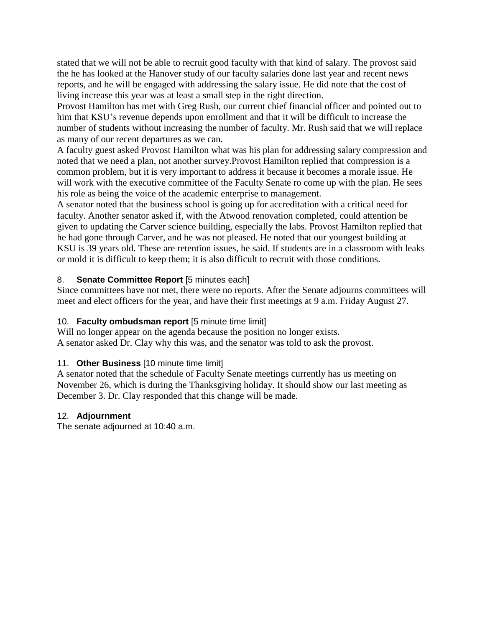stated that we will not be able to recruit good faculty with that kind of salary. The provost said the he has looked at the Hanover study of our faculty salaries done last year and recent news reports, and he will be engaged with addressing the salary issue. He did note that the cost of living increase this year was at least a small step in the right direction.

Provost Hamilton has met with Greg Rush, our current chief financial officer and pointed out to him that KSU's revenue depends upon enrollment and that it will be difficult to increase the number of students without increasing the number of faculty. Mr. Rush said that we will replace as many of our recent departures as we can.

A faculty guest asked Provost Hamilton what was his plan for addressing salary compression and noted that we need a plan, not another survey.Provost Hamilton replied that compression is a common problem, but it is very important to address it because it becomes a morale issue. He will work with the executive committee of the Faculty Senate ro come up with the plan. He sees his role as being the voice of the academic enterprise to management.

A senator noted that the business school is going up for accreditation with a critical need for faculty. Another senator asked if, with the Atwood renovation completed, could attention be given to updating the Carver science building, especially the labs. Provost Hamilton replied that he had gone through Carver, and he was not pleased. He noted that our youngest building at KSU is 39 years old. These are retention issues, he said. If students are in a classroom with leaks or mold it is difficult to keep them; it is also difficult to recruit with those conditions.

# 8. **Senate Committee Report** [5 minutes each]

Since committees have not met, there were no reports. After the Senate adjourns committees will meet and elect officers for the year, and have their first meetings at 9 a.m. Friday August 27.

# 10. **Faculty ombudsman report** [5 minute time limit]

Will no longer appear on the agenda because the position no longer exists. A senator asked Dr. Clay why this was, and the senator was told to ask the provost.

# 11. **Other Business** [10 minute time limit]

A senator noted that the schedule of Faculty Senate meetings currently has us meeting on November 26, which is during the Thanksgiving holiday. It should show our last meeting as December 3. Dr. Clay responded that this change will be made.

## 12. **Adjournment**

The senate adjourned at 10:40 a.m.